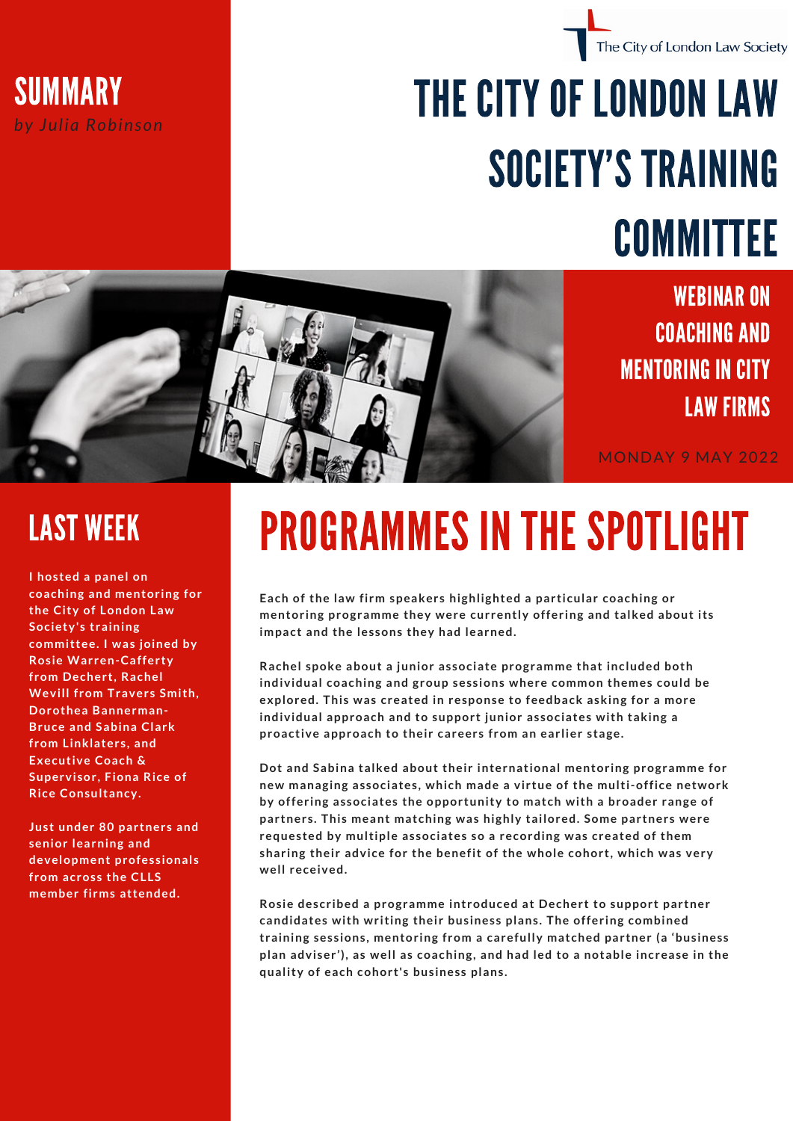

## THE CITY OF LONDONLAW SOCIETY'S TRAINING COMMITTEE



WEBINAR ON COACHING AND **MENTORING IN CITY** LAW FIRMS

The City of London Law Society

MONDAY 9 MAY 2022

**I hosted a panel on coaching and mentoring for the City of London Law Society's training committee. I was joined by Rosie Warren-Cafferty from Dechert, Rachel Wevill from Travers Smith, Dorothea Bannerman-Bruce and Sabina Clark from Linklaters, and Executive Coach & Supervisor, Fiona Rice of Rice Consultancy.**

**Just under 80 partners and senior learning and development professionals from across the CLLS member firms attended.**

## LAST WEEK PROGRAMMES IN THE SPOTLIGHT

**Each of the law firm speakers highlighted a particular coaching or mentoring programme they were currently offering and talked about its impact and the lessons they had learned.**

**Rachel spoke about a junior associate programme that included both individual coaching and group sessions where common themes could be explored. This was created in response to feedback asking for a more individual approach and to support junior associates with taking a proactive approach to their careers from an earlier stage.**

**Dot and Sabina talked about their international mentoring programme for new managing associates, which made a virtue of the multi-office network by offering associates the opportunity to match with a broader range of partners. This meant matching was highly tailored. Some partners were requested by multiple associates so a recording was created of them sharing their advice for the benefit of the whole cohort, which was very well received.**

**Rosie described a programme introduced at Dechert to support partner candidates with writing their business plans. The offering combined training sessions, mentoring from a carefully matched partner (a 'business plan adviser'), as well as coaching, and had led to a notable increase in the quality of each cohort's business plans.**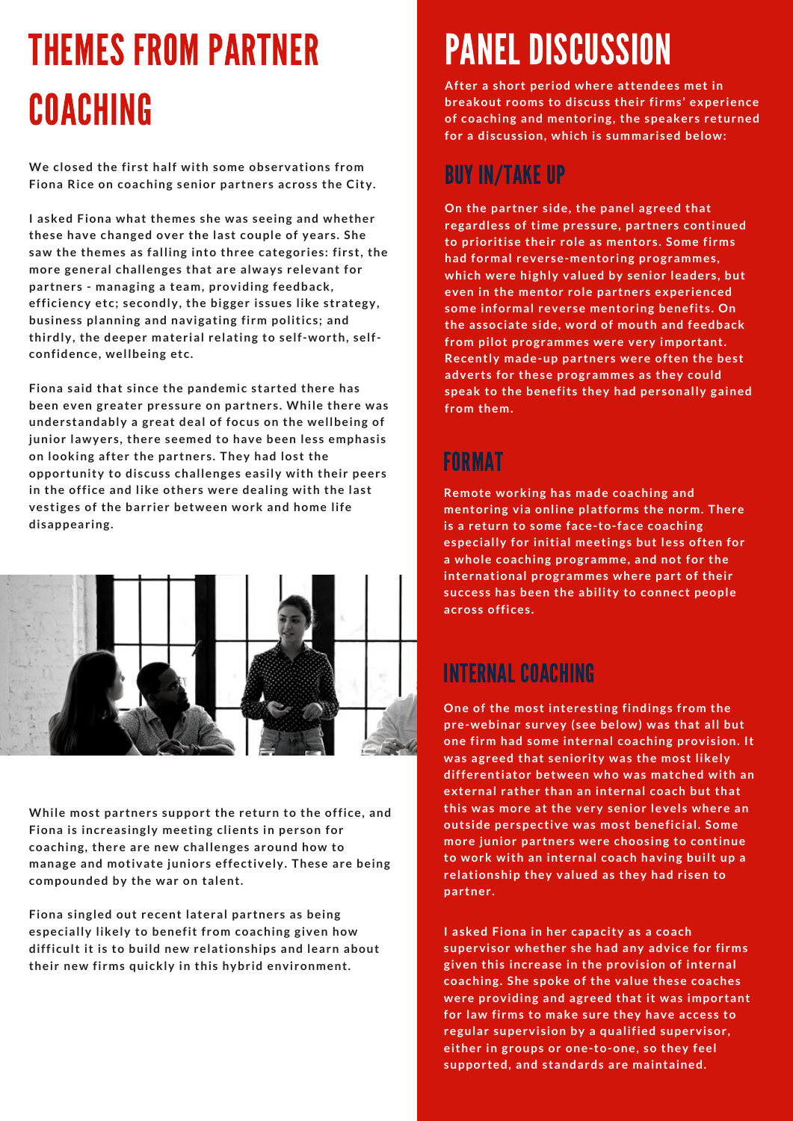## THEMES FROM PARTNER COACHING

**We closed the first half with some observations from Fiona Rice on coaching senior partners across the City.**

**I asked Fiona what themes she was seeing and whether these have changed over the last couple of years. She saw the themes as falling into three categories: first, the more general challenges that are always relevant for partners - managing a team, providing feedback, efficiency etc; secondly, the bigger issues like strategy, business planning and navigating firm politics; and thirdly, the deeper material relating to self-worth, selfconfidence, wellbeing etc.**

**Fiona said that since the pandemic started there has been even greater pressure on partners. While there was understandably a great deal of focus on the wellbeing of junior lawyers, there seemed to have been less emphasis on looking after the partners. They had lost the opportunity to discuss challenges easily with their peers in the office and like others were dealing with the last vestiges of the barrier between work and home life disappearing.**



**While most partners support the return to the office, and Fiona is increasingly meeting clients in person for coaching, there are new challenges around how to manage and motivate juniors effectively. These are being compounded by the war on talent.**

**Fiona singled out recent lateral partners as being especially likely to benefit from coaching given how difficult it is to build new relationships and learn about their new firms quickly in this hybrid environment.**

## PANEL DISCUSSION

**After a short period where attendees met in breakout rooms to discuss their firms' experience of coaching and mentoring, the speakers returned for a discussion, which is summarised below:**

### BUY IN/TAKE UP

**On the partner side, the panel agreed that regardless of time pressure, partners continued to prioritise their role as mentors. Some firms had formal reverse-mentoring programmes, which were highly valued by senior leaders, but even in the mentor role partners experienced some informal reverse mentoring benefits. On the associate side, word of mouth and feedback from pilot programmes were very important. Recently made-up partners were often the best adverts for these programmes as they could speak to the benefits they had personally gained from them.**

### FORMAT

**Remote working has made coaching and mentoring via online platforms the norm. There is a return to some face-to-face coaching especially for initial meetings but less often for a whole coaching programme, and not for the international programmes where part of their success has been the ability to connect people across offices.**

### INTERNAL COACHING

**One of the most interesting findings from the pre-webinar survey (see below) was that all but one firm had some internal coaching provision. It was agreed that seniority was the most likely differentiator between who was matched with an external rather than an internal coach but that this was more at the very senior levels where an outside perspective was most beneficial. Some more junior partners were choosing to continue to work with an internal coach having built up a relationship they valued as they had risen to partner.**

**I asked Fiona in her capacity as a coach supervisor whether she had any advice for firms given this increase in the provision of internal coaching. She spoke of the value these coaches were providing and agreed that it was important for law firms to make sure they have access to regular supervision by a qualified supervisor, either in groups or one-to-one, so they feel supported, and standards are maintained.**